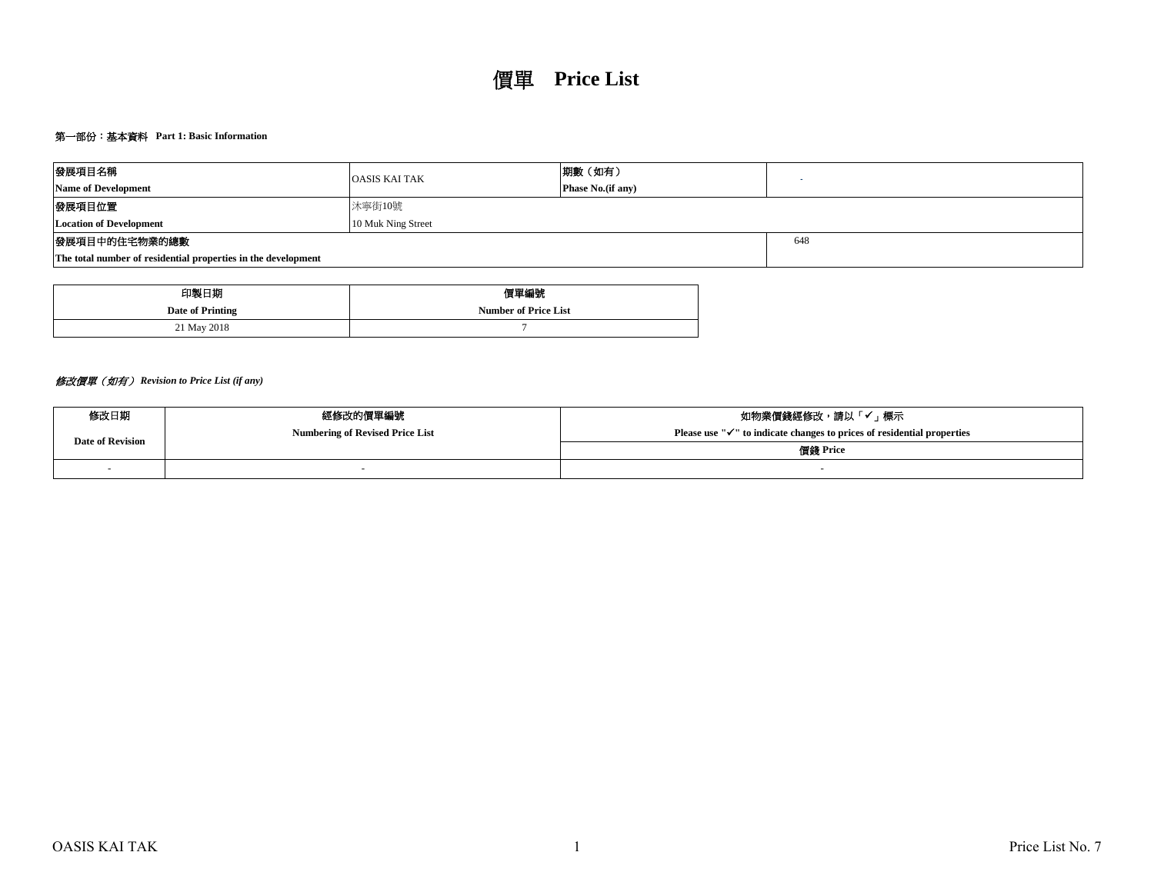# 第一部份:基本資料 **Part 1: Basic Information**

| 發展項目名稱                                                        | <b>OASIS KAI TAK</b> | 期數(如有)                    |  |  |  |  |  |  |
|---------------------------------------------------------------|----------------------|---------------------------|--|--|--|--|--|--|
| <b>Name of Development</b>                                    |                      | <b>Phase No.</b> (if any) |  |  |  |  |  |  |
| 發展項目位置                                                        | 沐寧街10號               |                           |  |  |  |  |  |  |
| <b>Location of Development</b>                                |                      |                           |  |  |  |  |  |  |
| 發展項目中的住宅物業的總數                                                 |                      | 648                       |  |  |  |  |  |  |
| The total number of residential properties in the development |                      |                           |  |  |  |  |  |  |

| 印製日期             | 價單編號                        |
|------------------|-----------------------------|
| Date of Printing | <b>Number of Price List</b> |
| 21 May 2018      |                             |

# 修改價單(如有) *Revision to Price List (if any)*

| 修改日期             | 經修改的價單編號                               | 如物業價錢經修改,請以「✔」標示                                                                    |  |  |  |  |  |
|------------------|----------------------------------------|-------------------------------------------------------------------------------------|--|--|--|--|--|
| Date of Revision | <b>Numbering of Revised Price List</b> | Please use " $\checkmark$ " to indicate changes to prices of residential properties |  |  |  |  |  |
|                  |                                        | 價錢 Price                                                                            |  |  |  |  |  |
|                  |                                        |                                                                                     |  |  |  |  |  |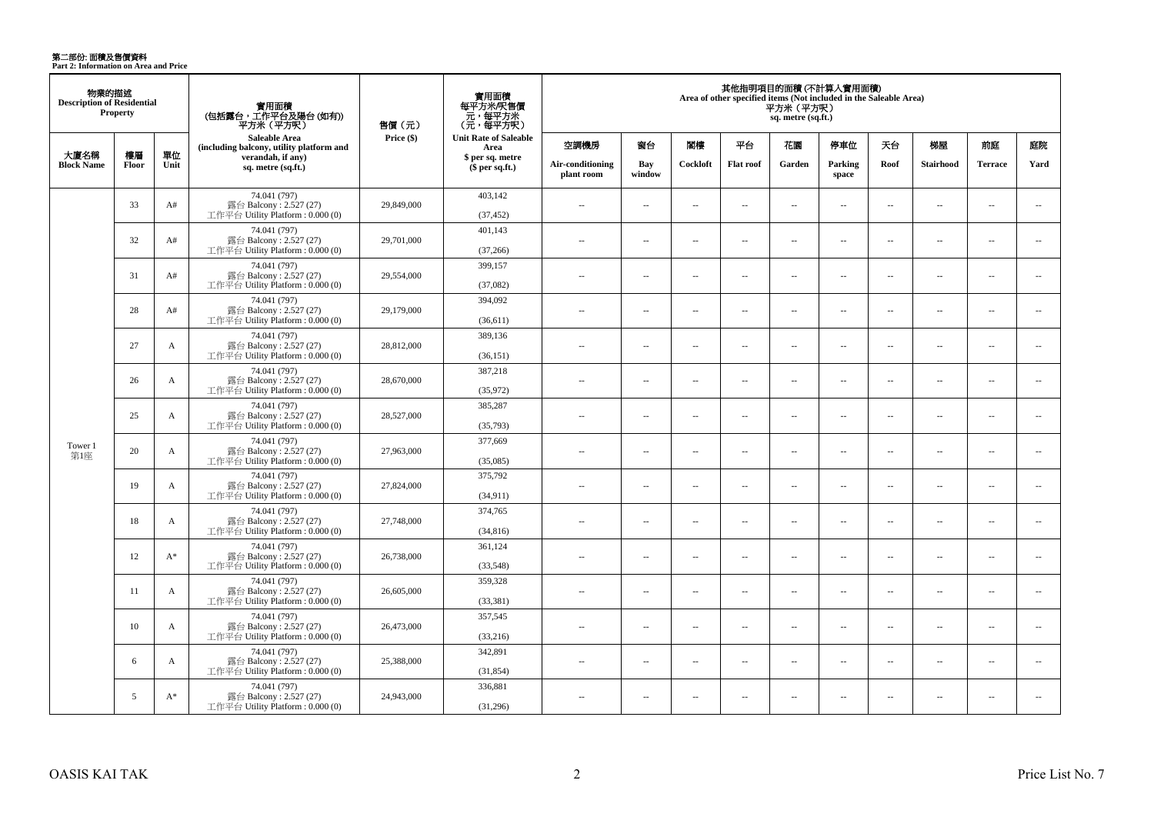**第二部份: 面積及售價資料**<br>Part 2: Information on Area and Price

| 物業的描述<br><b>Description of Residential</b><br><b>Property</b> |             |              | 實用面積<br>(包括露台,工作平台及陽台(如有))<br>平方米 (平方呎)                                      | 售價 (元)     | 實用面積<br>每平方米/呎售價<br>- 元, 每平方米<br>(元, 每平方呎) | 其他指明項目的面積(不計算入實用面積)<br>Area of other specified items (Not included in the Saleable Area)<br>平方米(平方呎)<br>sq. metre (sq.ft.) |                          |                          |                          |                          |                          |                          |                          |                          |                          |
|---------------------------------------------------------------|-------------|--------------|------------------------------------------------------------------------------|------------|--------------------------------------------|----------------------------------------------------------------------------------------------------------------------------|--------------------------|--------------------------|--------------------------|--------------------------|--------------------------|--------------------------|--------------------------|--------------------------|--------------------------|
|                                                               |             |              | Saleable Area<br>(including balcony, utility platform and                    | Price (\$) | <b>Unit Rate of Saleable</b><br>Area       | 空調機房                                                                                                                       | 窗台                       | 閣樓                       | 平台                       | 花園                       | 停車位                      | 天台                       | 梯屋                       | 前庭                       | 庭院                       |
| 大廈名稱<br><b>Block Name</b>                                     | 樓層<br>Floor | 單位<br>Unit   | verandah, if any)<br>sq. metre (sq.ft.)                                      |            | \$ per sq. metre<br>$$per sq.f.$ )         | Air-conditioning<br>plant room                                                                                             | Bay<br>window            | Cockloft                 | <b>Flat roof</b>         | Garden                   | Parking<br>space         | Roof                     | <b>Stairhood</b>         | <b>Terrace</b>           | Yard                     |
|                                                               | 33          | A#           | 74.041 (797)<br>露台 Balcony: 2.527 (27)<br>工作平台 Utility Platform : $0.000(0)$ | 29,849,000 | 403,142<br>(37, 452)                       | $\sim$                                                                                                                     | $\sim$                   | $\sim$                   | $\overline{a}$           | $\sim$ $\sim$            | $\sim$                   | $\overline{\phantom{a}}$ | $\sim$                   | $\overline{a}$           | $\sim$                   |
|                                                               | 32          | A#           | 74.041 (797)<br>露台 Balcony: 2.527 (27)<br>工作平台 Utility Platform: 0.000 (0)   | 29,701,000 | 401,143<br>(37, 266)                       | $\sim$ $\sim$                                                                                                              | $\overline{a}$           | $\sim$                   | $\sim$                   | $\overline{a}$           | $\sim$                   | $\sim$                   | $\sim$                   | $\overline{a}$           | $\sim$                   |
|                                                               | 31          | A#           | 74.041 (797)<br>露台 Balcony: 2.527 (27)<br>工作平台 Utility Platform : 0.000 (0)  | 29,554,000 | 399,157<br>(37,082)                        | $\overline{a}$                                                                                                             | $\sim$                   | $\sim$                   | μ.                       | $\overline{\phantom{a}}$ | $\overline{\phantom{a}}$ | $\overline{\phantom{a}}$ | $\sim$                   | $\overline{\phantom{a}}$ | $\overline{\phantom{a}}$ |
|                                                               | 28          | A#           | 74.041 (797)<br>露台 Balcony: 2.527 (27)<br>工作平台 Utility Platform: 0.000 (0)   | 29,179,000 | 394,092<br>(36,611)                        | $\overline{a}$                                                                                                             | $\overline{a}$           | $\sim$                   | $\sim$                   | $\sim$                   | $\sim$                   | $\overline{\phantom{a}}$ | $\sim$                   | $\overline{a}$           | $\sim$                   |
|                                                               | 27          | $\mathbf{A}$ | 74.041 (797)<br>露台 Balcony: 2.527 (27)<br>工作平台 Utility Platform: 0.000 (0)   | 28,812,000 | 389,136<br>(36, 151)                       | $\sim$                                                                                                                     | $\overline{a}$           | $\sim$                   | $\overline{a}$           | $\sim$                   | $\sim$                   | $\overline{\phantom{a}}$ | $\sim$                   | $\overline{a}$           | $\sim$                   |
|                                                               | 26          | A            | 74.041 (797)<br>露台 Balcony: 2.527 (27)<br>工作平台 Utility Platform: 0.000 (0)   | 28,670,000 | 387,218<br>(35,972)                        | $\sim$                                                                                                                     | $\sim$                   | $\sim$                   | $\overline{\phantom{a}}$ | $\sim$                   | $\sim$                   | $\overline{\phantom{a}}$ | $\overline{\phantom{a}}$ | $\overline{a}$           | $\overline{\phantom{a}}$ |
|                                                               | 25          | $\mathbf{A}$ | 74.041 (797)<br>露台 Balcony: 2.527 (27)<br>工作平台 Utility Platform: 0.000 (0)   | 28,527,000 | 385,287<br>(35,793)                        | $\sim$                                                                                                                     | $\sim$                   | $\sim$                   | $\sim$                   | $\sim$                   | $\sim$                   | $\sim$                   | $\sim$                   | $\sim$                   | $\sim$                   |
| Tower 1<br>第1座                                                | 20          | A            | 74.041 (797)<br>露台 Balcony: 2.527 (27)<br>工作平台 Utility Platform : 0.000 (0)  | 27,963,000 | 377,669<br>(35,085)                        | $\overline{a}$                                                                                                             | $\overline{\phantom{a}}$ | $\sim$                   | $\sim$                   | $\overline{a}$           | $\sim$                   | $\overline{\phantom{a}}$ | $\sim$                   | $\overline{a}$           | $\overline{\phantom{a}}$ |
|                                                               | 19          | $\mathbf{A}$ | 74.041 (797)<br>露台 Balcony: 2.527 (27)<br>工作平台 Utility Platform: 0.000 (0)   | 27,824,000 | 375,792<br>(34, 911)                       | $\overline{a}$                                                                                                             | $\overline{\phantom{a}}$ | $\sim$                   | $\overline{a}$           | $\overline{\phantom{a}}$ | $\overline{\phantom{a}}$ | $\overline{\phantom{a}}$ | $\sim$                   | $\overline{\phantom{a}}$ | $\overline{\phantom{a}}$ |
|                                                               | 18          | $\mathbf{A}$ | 74.041 (797)<br>露台 Balcony: 2.527 (27)<br>工作平台 Utility Platform : $0.000(0)$ | 27,748,000 | 374,765<br>(34, 816)                       | $\overline{a}$                                                                                                             | $\overline{\phantom{a}}$ | $\sim$                   | μ.                       | $\overline{\phantom{a}}$ | $\sim$                   | $\overline{\phantom{a}}$ | ÷.                       | $\sim$                   | $\sim$                   |
|                                                               | 12          | $A^*$        | 74.041 (797)<br>露台 Balcony: 2.527 (27)<br>工作平台 Utility Platform : 0.000 (0)  | 26,738,000 | 361,124<br>(33,548)                        | $\overline{\phantom{a}}$                                                                                                   | $\overline{\phantom{a}}$ | $\overline{\phantom{a}}$ | $\overline{\phantom{a}}$ | $\overline{\phantom{a}}$ | $\overline{\phantom{a}}$ | $\overline{\phantom{a}}$ | $\overline{\phantom{a}}$ | $\overline{\phantom{a}}$ | $\overline{\phantom{a}}$ |
|                                                               | 11          | A            | 74.041 (797)<br>露台 Balcony: 2.527 (27)<br>工作平台 Utility Platform : $0.000(0)$ | 26,605,000 | 359,328<br>(33, 381)                       | $\sim$                                                                                                                     | $\sim$                   | $\sim$                   | $\sim$                   | $\sim$                   | $\sim$                   | $\overline{\phantom{a}}$ | $\sim$                   | $\overline{\phantom{a}}$ | $\overline{\phantom{a}}$ |
|                                                               | 10          | A            | 74.041 (797)<br>露台 Balcony: 2.527 (27)<br>工作平台 Utility Platform : 0.000 (0)  | 26,473,000 | 357,545<br>(33,216)                        | $\overline{a}$                                                                                                             | $\sim$                   | $\sim$                   | $\sim$                   | $\overline{a}$           | $\sim$                   | $\overline{\phantom{a}}$ | $\sim$                   | $\sim$                   | $\sim$                   |
|                                                               | 6           | A            | 74.041 (797)<br>露台 Balcony: 2.527 (27)<br>工作平台 Utility Platform: 0.000 (0)   | 25,388,000 | 342,891<br>(31, 854)                       | $\overline{a}$                                                                                                             | $\overline{\phantom{a}}$ | $\sim$                   | $\overline{\phantom{a}}$ | $\overline{\phantom{a}}$ | $\sim$                   | $\overline{\phantom{a}}$ | $\sim$                   | $\overline{a}$           | $\overline{\phantom{a}}$ |
|                                                               | 5           | $A^*$        | 74.041 (797)<br>露台 Balcony: 2.527 (27)<br>工作平台 Utility Platform : $0.000(0)$ | 24,943,000 | 336,881<br>(31,296)                        | $\overline{a}$                                                                                                             | $\sim$                   | $\sim$                   | $\overline{\phantom{a}}$ | $\sim$                   | $\sim$                   | $\overline{\phantom{a}}$ | $\sim$                   | $\overline{\phantom{a}}$ | $\overline{\phantom{a}}$ |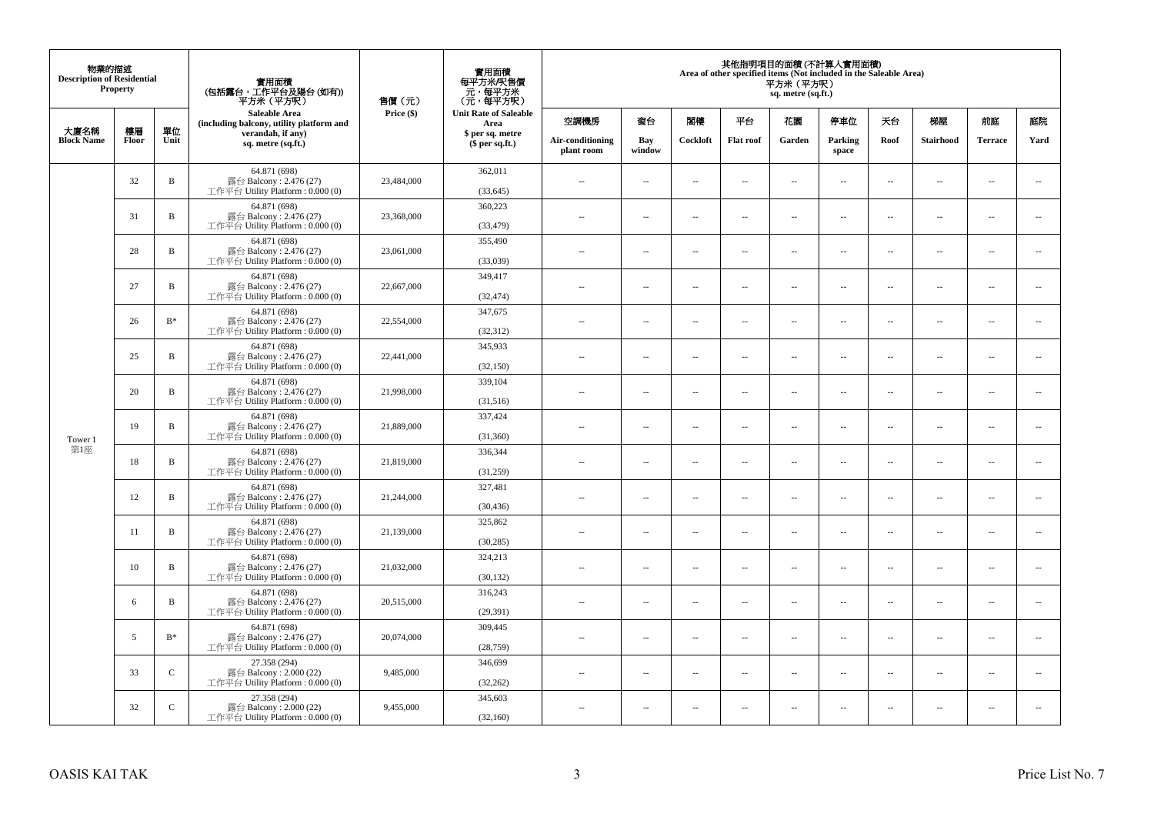| 物業的描述<br><b>Description of Residential</b><br>Property |       |                | 實用面積<br>(包括露台,工作平台及陽台(如有))<br>平方米(平方呎)                                       | 售價(元)      | 實用面積<br>每平方米/呎售價<br>- 元, 每平方米<br>(元, 每平方呎) | 其他指明項目的面積 (不計算入實用面積)<br>Area of other specified items (Not included in the Saleable Area)<br>平方米 (平方呎)<br>sq. metre (sq.ft.) |                          |                          |                  |                          |                          |                          |                          |                          |                          |  |
|--------------------------------------------------------|-------|----------------|------------------------------------------------------------------------------|------------|--------------------------------------------|------------------------------------------------------------------------------------------------------------------------------|--------------------------|--------------------------|------------------|--------------------------|--------------------------|--------------------------|--------------------------|--------------------------|--------------------------|--|
| 大廈名稱                                                   | 樓層    | 單位             | <b>Saleable Area</b><br>(including balcony, utility platform and             | Price (\$) | <b>Unit Rate of Saleable</b><br>Area       | 空調機房                                                                                                                         | 窗台                       | 閣樓                       | 平台               | 花園                       | 停車位                      | 天台                       | 梯屋                       | 前庭                       | 庭院                       |  |
| <b>Block Name</b>                                      | Floor | Unit           | verandah, if any)<br>sq. metre (sq.ft.)                                      |            | \$ per sq. metre<br>\$per sq.ft.)          | Air-conditioning<br>plant room                                                                                               | Bay<br>window            | Cockloft                 | <b>Flat</b> roof | Garden                   | Parking<br>space         | Roof                     | Stairhood                | <b>Terrace</b>           | Yard                     |  |
|                                                        | 32    | $\, {\bf B}$   | 64.871 (698)<br>露台 Balcony: 2.476 (27)<br>工作平台 Utility Platform: 0.000 (0)   | 23,484,000 | 362,011<br>(33, 645)                       | $\ddot{\phantom{a}}$                                                                                                         | $\overline{\phantom{a}}$ | $\sim$                   | μ.               | $\sim$                   | $\sim$                   | $\overline{\phantom{a}}$ | Ξ.                       | $\ddot{\phantom{a}}$     | $\sim$                   |  |
|                                                        | 31    | $\, {\bf B}$   | 64.871 (698)<br>露台 Balcony: 2.476 (27)<br>工作平台 Utility Platform: 0.000 (0)   | 23,368,000 | 360,223<br>(33, 479)                       | $\sim$                                                                                                                       | $\overline{a}$           | $\sim$                   | $\sim$           | $\sim$                   | $\sim$                   | $\sim$                   | $\sim$                   | $\sim$                   | $\mathbf{u}$             |  |
|                                                        | 28    | $\, {\bf B}$   | 64.871 (698)<br>露台 Balcony: 2.476 (27)<br>工作平台 Utility Platform: 0.000 (0)   | 23,061,000 | 355,490<br>(33,039)                        | $\overline{\phantom{a}}$                                                                                                     | $\overline{\phantom{a}}$ | $\overline{\phantom{a}}$ | --               | $\overline{\phantom{a}}$ | $\overline{\phantom{a}}$ | $\overline{\phantom{a}}$ | $\overline{\phantom{a}}$ | $\overline{\phantom{a}}$ | $\overline{\phantom{a}}$ |  |
|                                                        | 27    | $\, {\bf B}$   | 64.871 (698)<br>露台 Balcony: 2.476 (27)<br>工作平台 Utility Platform: 0.000 (0)   | 22,667,000 | 349,417<br>(32, 474)                       | $\sim$                                                                                                                       | $\overline{\phantom{a}}$ | $\sim$                   | $\sim$           | $\overline{\phantom{a}}$ | $\sim$                   | $\sim$                   | $\sim$                   | $\overline{\phantom{a}}$ | $\sim$                   |  |
|                                                        | 26    | $\mathrm{B}^*$ | 64.871 (698)<br>露台 Balcony: 2.476 (27)<br>工作平台 Utility Platform: 0.000 (0)   | 22,554,000 | 347,675<br>(32, 312)                       |                                                                                                                              | μ.                       | ÷.                       | μ.               | $\sim$                   | $\sim$                   | $\sim$                   | Ξ.                       | $\ddot{\phantom{a}}$     | $\sim$                   |  |
|                                                        | 25    | $\, {\bf B}$   | 64.871 (698)<br>露台 Balcony: 2.476 (27)<br>工作平台 Utility Platform: 0.000 (0)   | 22,441,000 | 345,933<br>(32, 150)                       | ×.                                                                                                                           | $\sim$                   | $\sim$                   | $\sim$           | $\sim$                   | $\sim$                   | $\sim$                   | $\overline{a}$           | $\sim$                   | $\sim$                   |  |
|                                                        | 20    | $\, {\bf B}$   | 64.871 (698)<br>露台 Balcony: 2.476 (27)<br>工作平台 Utility Platform: 0.000 (0)   | 21,998,000 | 339,104<br>(31,516)                        | $\sim$                                                                                                                       | $\overline{\phantom{a}}$ | $\sim$                   | μ.               | $\overline{\phantom{a}}$ | $\overline{\phantom{a}}$ | $\overline{\phantom{a}}$ | $\overline{\phantom{a}}$ | $\overline{\phantom{a}}$ | $\overline{\phantom{a}}$ |  |
| Tower 1                                                | 19    | $\, {\bf B}$   | 64.871 (698)<br>露台 Balcony: 2.476 (27)<br>工作平台 Utility Platform: 0.000 (0)   | 21,889,000 | 337,424<br>(31, 360)                       | $\sim$                                                                                                                       | $\overline{a}$           | $\sim$                   | $\sim$           | $\overline{a}$           | $\sim$                   | $\overline{\phantom{a}}$ | $\overline{\phantom{a}}$ | $\sim$                   | $\sim$                   |  |
| 第1座                                                    | 18    | $\, {\bf B}$   | 64.871 (698)<br>露台 Balcony: 2.476 (27)<br>工作平台 Utility Platform: 0.000 (0)   | 21,819,000 | 336,344<br>(31,259)                        | $\overline{\phantom{a}}$                                                                                                     | $\sim$                   | $\sim$                   | $\sim$           | $\sim$                   | $\sim$                   | $\overline{\phantom{a}}$ | $\overline{a}$           | $\sim$                   | $\ddot{\phantom{a}}$     |  |
|                                                        | 12    | $\, {\bf B}$   | 64.871 (698)<br>露台 Balcony: 2.476 (27)<br>工作平台 Utility Platform: 0.000 (0)   | 21,244,000 | 327,481<br>(30, 436)                       | $\sim$                                                                                                                       | $\sim$                   | $\sim$                   | $\sim$           | $\sim$ $\sim$            | $\overline{\phantom{a}}$ | $\sim$                   | $\sim$                   | $\overline{\phantom{a}}$ | $\overline{\phantom{a}}$ |  |
|                                                        | 11    | B              | 64.871 (698)<br>露台 Balcony: 2.476 (27)<br>工作平台 Utility Platform : 0.000 (0)  | 21,139,000 | 325,862<br>(30, 285)                       |                                                                                                                              | $\overline{\phantom{a}}$ | $\sim$                   | μ.               | $\sim$                   | $\sim$                   | $\overline{\phantom{a}}$ | Ξ.                       | $\ddot{\phantom{a}}$     | $\sim$                   |  |
|                                                        | 10    | B              | 64.871 (698)<br>露台 Balcony: 2.476 (27)<br>工作平台 Utility Platform : 0.000 (0)  | 21.032.000 | 324,213<br>(30, 132)                       | $\sim$                                                                                                                       | $\overline{a}$           | $\sim$                   | $\sim$           | $\overline{a}$           | $\sim$                   | $\overline{\phantom{a}}$ | $\overline{\phantom{a}}$ | $\sim$                   | $\sim$                   |  |
|                                                        | 6     | $\, {\bf B}$   | 64.871 (698)<br>露台 Balcony: 2.476 (27)<br>工作平台 Utility Platform : 0.000 (0)  | 20,515,000 | 316,243<br>(29, 391)                       | 44                                                                                                                           | $\overline{\phantom{a}}$ | $\sim$                   | μ.               | $\overline{\phantom{a}}$ | $\sim$                   | $\overline{\phantom{a}}$ | Ξ.                       | $\ddot{\phantom{a}}$     | $\sim$                   |  |
|                                                        | 5     | $B^*$          | 64.871 (698)<br>露台 Balcony: 2.476 (27)<br>工作平台 Utility Platform : 0.000 (0)  | 20,074,000 | 309,445<br>(28, 759)                       | $\sim$                                                                                                                       | $\sim$                   | $\sim$                   | $\sim$           | $\sim$ $\sim$            | $\sim$                   | $\sim$                   | $\sim$                   | $\sim$                   | $\sim$                   |  |
|                                                        | 33    | $\mathcal{C}$  | 27.358 (294)<br>露台 Balcony: 2.000 (22)<br>工作平台 Utility Platform : $0.000(0)$ | 9,485,000  | 346,699<br>(32, 262)                       | $\sim$                                                                                                                       | $\overline{\phantom{a}}$ | $\sim$                   | μ.               | $\overline{\phantom{a}}$ | $\sim$                   | $\overline{\phantom{a}}$ | $\overline{\phantom{a}}$ | $\sim$                   | $\sim$                   |  |
|                                                        | 32    | $\mathsf{C}$   | 27.358 (294)<br>露台 Balcony: 2.000 (22)<br>工作平台 Utility Platform: 0.000 (0)   | 9,455,000  | 345,603<br>(32,160)                        | $\sim$                                                                                                                       | $\sim$                   | $\sim$                   | $\sim$           | $\sim$ $\sim$            | $\sim$                   | $\sim$                   | $\sim$                   | $\sim$                   | $\sim$                   |  |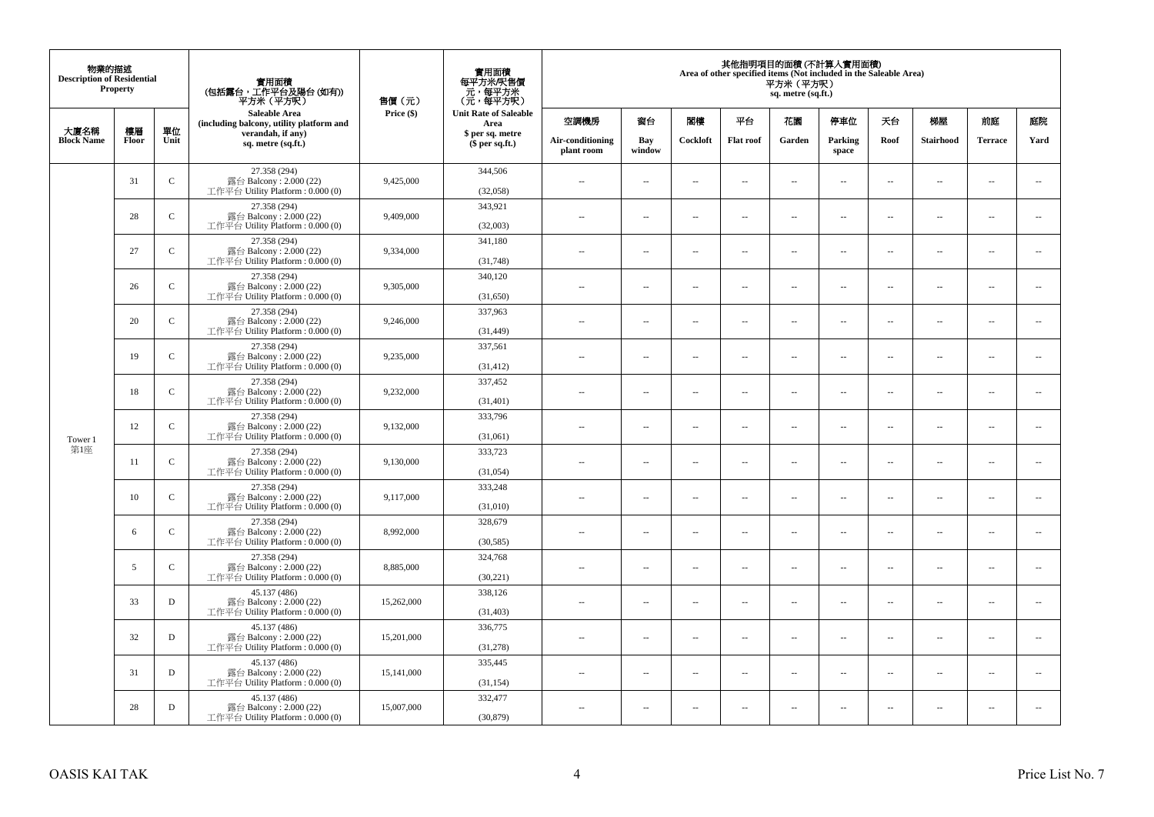| 物業的描述<br><b>Description of Residential</b><br>Property |       |               | 實用面積<br>(包括露台,工作平台及陽台(如有))<br>平方米(平方呎)                                      | 售價(元)      | 實用面積<br>每平方米/呎售價<br>- 元, 每平方米<br>(元, 每平方呎) | 其他指明項目的面積 (不計算入實用面積)<br>Area of other specified items (Not included in the Saleable Area)<br>平方米 (平方呎)<br>sq. metre (sq.ft.) |                          |                          |                          |                          |                          |                          |                          |                          |                             |
|--------------------------------------------------------|-------|---------------|-----------------------------------------------------------------------------|------------|--------------------------------------------|------------------------------------------------------------------------------------------------------------------------------|--------------------------|--------------------------|--------------------------|--------------------------|--------------------------|--------------------------|--------------------------|--------------------------|-----------------------------|
| 大廈名稱                                                   | 樓層    | 單位            | Saleable Area<br>(including balcony, utility platform and                   | Price (\$) | <b>Unit Rate of Saleable</b><br>Area       | 空調機房                                                                                                                         | 窗台                       | 閨樓                       | 平台                       | 花園                       | 停車位                      | 天台                       | 梯屋                       | 前庭                       | 庭院                          |
| <b>Block Name</b>                                      | Floor | Unit          | verandah, if any)<br>sq. metre (sq.ft.)                                     |            | \$ per sq. metre<br>\$per sq.ft.)          | Air-conditioning<br>plant room                                                                                               | Bay<br>window            | Cockloft                 | <b>Flat roof</b>         | Garden                   | Parking<br>space         | Roof                     | Stairhood                | <b>Terrace</b>           | Yard                        |
|                                                        | 31    | $\mathbf C$   | 27.358 (294)<br>露台 Balcony: 2.000 (22)<br>工作平台 Utility Platform: 0.000 (0)  | 9,425,000  | 344,506<br>(32,058)                        | ÷.                                                                                                                           | $\overline{\phantom{a}}$ | $\sim$                   | μ.                       | $\overline{a}$           | $\sim$                   | $\overline{\phantom{a}}$ | Ξ.                       | $\ddot{\phantom{a}}$     | $\overline{\phantom{a}}$    |
|                                                        | 28    | ${\bf C}$     | 27.358 (294)<br>露台 Balcony: 2.000 (22)<br>工作平台 Utility Platform : 0.000 (0) | 9,409,000  | 343,921<br>(32,003)                        | $\sim$                                                                                                                       | $\sim$                   | $\sim$                   | $\sim$                   | $\sim$                   | $\sim$                   | $\sim$                   | $\overline{a}$           | $\sim$                   | $\sim$                      |
|                                                        | 27    | $\mathbf C$   | 27.358 (294)<br>露台 Balcony: 2.000 (22)<br>工作平台 Utility Platform : 0.000 (0) | 9,334,000  | 341,180<br>(31,748)                        | $\overline{\phantom{a}}$                                                                                                     | $\overline{\phantom{a}}$ | $\sim$                   | μ.                       | $\overline{\phantom{a}}$ | $\overline{\phantom{a}}$ | $\overline{\phantom{a}}$ | Ξ.                       | $\overline{\phantom{a}}$ | $\overline{\phantom{a}}$    |
|                                                        | 26    | $\mathcal{C}$ | 27.358 (294)<br>露台 Balcony: 2.000 (22)<br>工作平台 Utility Platform: 0.000 (0)  | 9,305,000  | 340,120<br>(31,650)                        | $\sim$                                                                                                                       | $\overline{a}$           | $\sim$                   | $\sim$                   | $\sim$ $\sim$            | $\sim$                   | $\sim$                   | $\overline{\phantom{a}}$ | $\sim$                   | $\sim$                      |
|                                                        | 20    | $\mathbf C$   | 27.358 (294)<br>露台 Balcony: 2.000 (22)<br>工作平台 Utility Platform: 0.000 (0)  | 9,246,000  | 337,963<br>(31, 449)                       |                                                                                                                              | --                       | $\ddotsc$                | --                       | $\overline{\phantom{a}}$ | $\overline{\phantom{a}}$ | $\overline{\phantom{a}}$ | --                       | $\ddotsc$                | $\overline{\phantom{a}}$    |
|                                                        | 19    | $\mathbf C$   | 27.358 (294)<br>露台 Balcony: 2.000 (22)<br>工作平台 Utility Platform: 0.000 (0)  | 9,235,000  | 337,561<br>(31, 412)                       | $\sim$                                                                                                                       | $\sim$                   | $\sim$                   | $\sim$                   | $\sim$ $\sim$            | $\overline{\phantom{a}}$ | $\overline{\phantom{a}}$ | $\sim$                   | $\overline{\phantom{a}}$ | $\overline{\phantom{a}}$    |
|                                                        | 18    | $\mathcal{C}$ | 27.358 (294)<br>露台 Balcony: 2.000 (22)<br>工作平台 Utility Platform: 0.000 (0)  | 9,232,000  | 337,452<br>(31,401)                        | ÷.                                                                                                                           | μ.                       | ÷.                       | μ.                       | ш,                       | $\sim$                   | $\overline{\phantom{a}}$ | Ξ.                       | $\ddot{\phantom{a}}$     | $\sim$                      |
| Tower 1                                                | 12    | $\mathsf{C}$  | 27.358 (294)<br>露台 Balcony: 2.000 (22)<br>工作平台 Utility Platform: 0.000 (0)  | 9,132,000  | 333,796<br>(31,061)                        | $\overline{\phantom{a}}$                                                                                                     | $\sim$                   | $\sim$                   | $\sim$                   | $\sim$ $\sim$            | $\sim$                   | $\overline{\phantom{a}}$ | $\sim$                   | $\sim$                   | $\mathcal{L}_{\mathcal{A}}$ |
| 第1座                                                    | 11    | $\mathbf C$   | 27.358 (294)<br>露台 Balcony: 2.000 (22)<br>工作平台 Utility Platform: 0.000 (0)  | 9,130,000  | 333,723<br>(31,054)                        | 44                                                                                                                           | $\overline{\phantom{a}}$ | $\sim$                   | μ.                       | $\sim$                   | $\sim$                   | $\overline{\phantom{a}}$ | Ξ.                       | $\ddot{\phantom{a}}$     | $\overline{\phantom{a}}$    |
|                                                        | 10    | ${\bf C}$     | 27.358 (294)<br>露台 Balcony: 2.000 (22)<br>工作平台 Utility Platform : 0.000 (0) | 9.117.000  | 333,248<br>(31,010)                        | $\sim$                                                                                                                       | $\overline{a}$           | $\sim$                   | $\sim$                   | $\overline{a}$           | $\sim$                   | $\sim$                   | $\overline{a}$           | $\sim$                   | $\sim$                      |
|                                                        | 6     | $\mathbf C$   | 27.358 (294)<br>露台 Balcony: 2.000 (22)<br>工作平台 Utility Platform : 0.000 (0) | 8,992,000  | 328,679<br>(30, 585)                       | 44                                                                                                                           | $\overline{\phantom{a}}$ | $\overline{\phantom{a}}$ | --                       | $\overline{\phantom{a}}$ | $\overline{\phantom{a}}$ | $\overline{\phantom{a}}$ | $\overline{\phantom{a}}$ | $\overline{\phantom{a}}$ | $\overline{\phantom{a}}$    |
|                                                        | 5     | $\mathcal{C}$ | 27.358 (294)<br>露台 Balcony: 2.000 (22)<br>工作平台 Utility Platform : 0.000 (0) | 8,885,000  | 324,768<br>(30,221)                        | $\sim$                                                                                                                       | $\overline{\phantom{a}}$ | $\sim$                   | $\sim$                   | $\sim$                   | $\sim$                   | $\overline{\phantom{a}}$ | $\overline{a}$           | $\ddot{\phantom{a}}$     | $\sim$                      |
|                                                        | 33    | D             | 45.137 (486)<br>露台 Balcony: 2.000 (22)<br>工作平台 Utility Platform: 0.000 (0)  | 15,262,000 | 338,126<br>(31, 403)                       | ÷.                                                                                                                           | $\overline{\phantom{a}}$ | $\sim$                   | μ.                       | $\overline{a}$           | $\sim$                   | $\overline{\phantom{a}}$ | Ξ.                       | $\ddot{\phantom{a}}$     | $\sim$                      |
|                                                        | 32    | D             | 45.137 (486)<br>露台 Balcony: 2.000 (22)<br>工作平台 Utility Platform: 0.000 (0)  | 15,201,000 | 336,775<br>(31,278)                        | $\sim$                                                                                                                       | $\overline{\phantom{a}}$ | $\sim$                   | $\overline{\phantom{a}}$ | $\overline{\phantom{a}}$ | $\overline{\phantom{a}}$ | $\sim$                   | $\overline{\phantom{a}}$ | $\overline{\phantom{a}}$ | $\overline{\phantom{a}}$    |
|                                                        | 31    | $\mathbf D$   | 45.137 (486)<br>露台 Balcony: 2.000 (22)<br>工作平台 Utility Platform : 0.000 (0) | 15,141,000 | 335,445<br>(31, 154)                       | $\sim$                                                                                                                       | $\overline{\phantom{a}}$ | $\sim$                   | μ.                       | $\sim$                   | $\sim$                   | $\overline{\phantom{a}}$ | $\overline{\phantom{a}}$ | $\ddot{\phantom{a}}$     | $\sim$                      |
|                                                        | 28    | $\mathbf D$   | 45.137 (486)<br>露台 Balcony: 2.000 (22)<br>工作平台 Utility Platform: 0.000 (0)  | 15,007,000 | 332,477<br>(30, 879)                       | $\overline{\phantom{a}}$                                                                                                     | $\sim$                   | $\sim$                   | $\sim$                   | $\sim$ $\sim$            | $\sim$                   | $\sim$                   | $\sim$                   | $\sim$                   | $\sim$                      |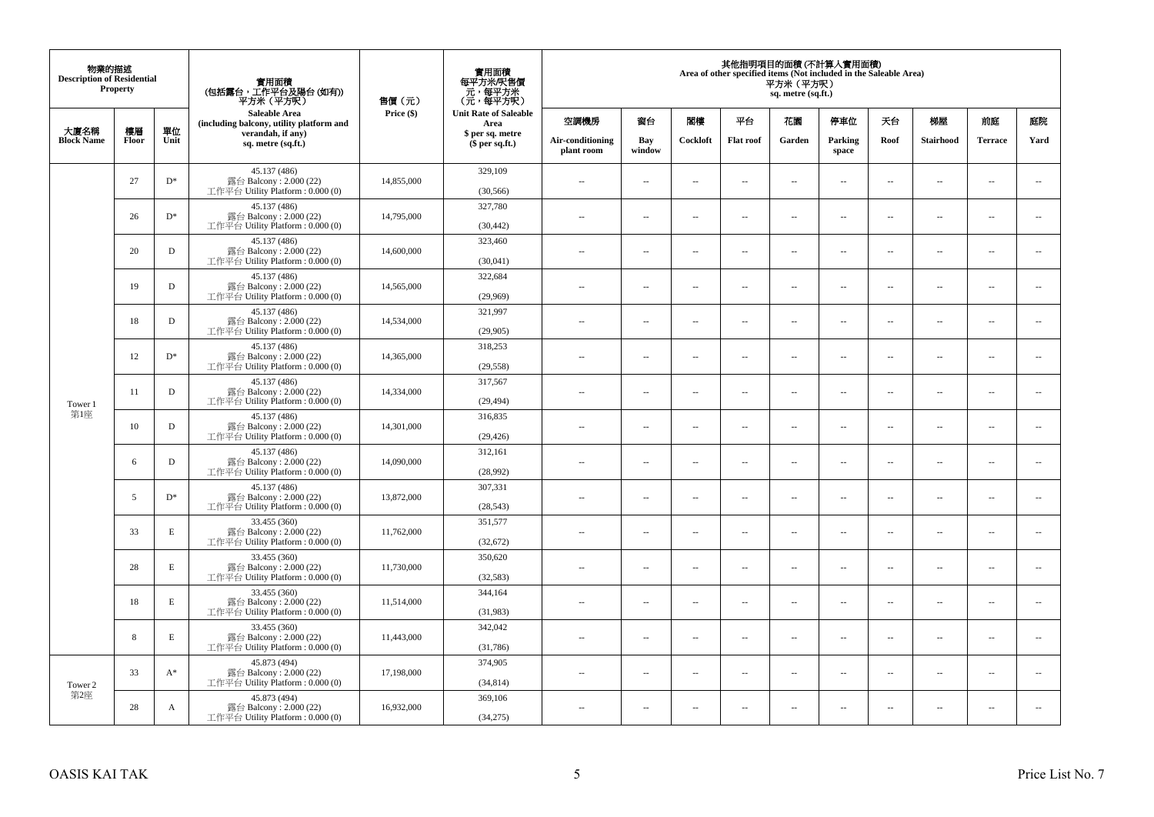| 物業的描述<br><b>Description of Residential</b><br><b>Property</b> |             |             | 實用面積<br>(包括露台,工作平台及陽台 (如有))<br>平方米 (平方呎)                                     | 售價(元)      | 實用面積<br>每平方米/呎售價<br>- 元, 每平方米<br>(元, 每平方呎) | 其他指明項目的面積 (不計算入實用面積)<br>Area of other specified items (Not included in the Saleable Area)<br>平方米(平方呎)<br>sq. metre (sq.ft.) |                          |                          |                          |                          |                  |                          |                          |                |                          |
|---------------------------------------------------------------|-------------|-------------|------------------------------------------------------------------------------|------------|--------------------------------------------|-----------------------------------------------------------------------------------------------------------------------------|--------------------------|--------------------------|--------------------------|--------------------------|------------------|--------------------------|--------------------------|----------------|--------------------------|
|                                                               |             |             | <b>Saleable Area</b><br>(including balcony, utility platform and             | Price (\$) | <b>Unit Rate of Saleable</b><br>Area       | 空調機房                                                                                                                        | 窗台                       | 閣樓                       | 平台                       | 花園                       | 停車位              | 天台                       | 梯屋                       | 前庭             | 庭院                       |
| 大廈名稱<br><b>Block Name</b>                                     | 樓層<br>Floor | 單位<br>Unit  | verandah, if any)<br>sq. metre (sq.ft.)                                      |            | \$ per sq. metre<br>$$$ per sq.ft.)        | Air-conditioning<br>plant room                                                                                              | Bay<br>window            | Cockloft                 | <b>Flat roof</b>         | Garden                   | Parking<br>space | Roof                     | Stairhood                | <b>Terrace</b> | Yard                     |
|                                                               | 27          | $D^*$       | 45.137 (486)<br>露台 Balcony: 2.000 (22)<br>工作平台 Utility Platform: 0.000 (0)   | 14,855,000 | 329,109<br>(30, 566)                       | $\sim$ $\sim$                                                                                                               | $\overline{\phantom{a}}$ | 4                        | $\sim$                   | μ.                       | $\sim$           | $\overline{\phantom{a}}$ | $\overline{\phantom{a}}$ | $\sim$         | $\sim$                   |
|                                                               | 26          | $D^*$       | 45.137 (486)<br>露台 Balcony: 2.000 (22)<br>工作平台 Utility Platform : $0.000(0)$ | 14,795,000 | 327,780<br>(30, 442)                       | $\sim$                                                                                                                      | $\sim$                   | ÷.                       | $\sim$                   | μ.                       | $\sim$           | $\sim$                   | $\overline{\phantom{a}}$ | $\sim$         | $\sim$                   |
|                                                               | 20          | D           | 45.137 (486)<br>露台 Balcony: 2.000 (22)<br>工作平台 Utility Platform : $0.000(0)$ | 14,600,000 | 323,460<br>(30,041)                        | $-$                                                                                                                         | ÷.                       | $\sim$                   | $\sim$                   | μ.                       | $\sim$           | $\overline{\phantom{a}}$ | $\overline{\phantom{a}}$ | $\sim$         | $\overline{\phantom{a}}$ |
|                                                               | 19          | D           | 45.137 (486)<br>露台 Balcony: 2.000 (22)<br>工作平台 Utility Platform: 0.000 (0)   | 14,565,000 | 322,684<br>(29,969)                        | $\sim$                                                                                                                      | $\overline{\phantom{a}}$ | $\sim$                   | $\sim$                   | $\sim$                   | $\sim$           | $\sim$                   | $\sim$                   | $\sim$         | $\sim$                   |
|                                                               | 18          | D           | 45.137 (486)<br>露台 Balcony: 2.000 (22)<br>工作平台 Utility Platform: 0.000 (0)   | 14,534,000 | 321,997<br>(29,905)                        |                                                                                                                             | $\sim$                   | 4                        | $\sim$                   | $\overline{\phantom{a}}$ | $\sim$           | $\sim$                   | $\overline{\phantom{a}}$ | $\sim$         | $\sim$                   |
|                                                               | 12          | $D^*$       | 45.137 (486)<br>露台 Balcony: 2.000 (22)<br>工作平台 Utility Platform: 0.000 (0)   | 14,365,000 | 318,253<br>(29, 558)                       | $\sim$                                                                                                                      | $\sim$                   | $\sim$                   | $\sim$                   | $\overline{a}$           | $\sim$           | $\sim$                   | $\overline{a}$           | $\sim$         | $\sim$                   |
| Tower 1                                                       | 11          | D           | 45.137 (486)<br>露台 Balcony: 2.000 (22)<br>工作平台 Utility Platform : $0.000(0)$ | 14.334,000 | 317,567<br>(29, 494)                       | $\sim$                                                                                                                      | $\overline{\phantom{a}}$ | $\overline{\phantom{a}}$ | $\sim$                   | ۰.                       | $\sim$           | $\overline{\phantom{a}}$ | ۰.                       | $\sim$         | $\overline{\phantom{a}}$ |
| 第1座                                                           | 10          | D           | 45.137 (486)<br>露台 Balcony: 2.000 (22)<br>工作平台 Utility Platform: 0.000 (0)   | 14,301,000 | 316,835<br>(29, 426)                       | $\sim$                                                                                                                      | $\sim$                   | $\sim$                   | $\sim$                   | $\overline{a}$           | $\sim$           | $\sim$                   | $\sim$                   | $\sim$         | $\sim$                   |
|                                                               | 6           | D           | 45.137 (486)<br>露台 Balcony: 2.000 (22)<br>工作平台 Utility Platform: 0.000 (0)   | 14,090,000 | 312,161<br>(28,992)                        | $\overline{\phantom{a}}$                                                                                                    | $\sim$                   | $\sim$                   | $\sim$                   | μ.                       | $\sim$           | $\overline{\phantom{a}}$ | $\overline{\phantom{a}}$ | $\sim$         | $\overline{\phantom{a}}$ |
|                                                               | 5           | $D^*$       | 45.137 (486)<br>露台 Balcony: 2.000 (22)<br>工作平台 Utility Platform: 0.000 (0)   | 13,872,000 | 307,331<br>(28, 543)                       | $\overline{a}$                                                                                                              | $\sim$                   | ÷.                       | $\sim$                   | μ.                       | $\sim$           | $\sim$                   | $\overline{\phantom{a}}$ | $\sim$         | $\sim$                   |
|                                                               | 33          | $\mathbf E$ | 33.455 (360)<br>露台 Balcony: 2.000 (22)<br>工作平台 Utility Platform: 0.000 (0)   | 11,762,000 | 351,577<br>(32,672)                        | $-$                                                                                                                         | ÷.                       | $\sim$                   | $\sim$                   | $\overline{a}$           | $\sim$           | $\overline{\phantom{a}}$ | $\overline{\phantom{a}}$ | $\sim$         | $\sim$                   |
|                                                               | 28          | $\mathbf E$ | 33.455 (360)<br>露台 Balcony: 2.000 (22)<br>工作平台 Utility Platform: 0.000 (0)   | 11,730,000 | 350,620<br>(32, 583)                       | $\sim$                                                                                                                      | $\sim$                   | $\sim$                   | $\sim$                   | $\overline{a}$           | $\sim$           | $\sim$                   | $\sim$                   | $\sim$         | $\sim$                   |
|                                                               | 18          | E           | 33.455 (360)<br>露台 Balcony: 2.000 (22)<br>工作平台 Utility Platform : 0.000 (0)  | 11,514,000 | 344,164<br>(31,983)                        | $\overline{\phantom{a}}$                                                                                                    | $\sim$                   | $\overline{\phantom{a}}$ | $\sim$                   | μ.                       | $\sim$           | $\sim$                   | $\overline{\phantom{a}}$ | $\sim$         | $\sim$                   |
|                                                               | 8           | E           | 33.455 (360)<br>露台 Balcony: 2.000 (22)<br>工作平台 Utility Platform : $0.000(0)$ | 11,443,000 | 342,042<br>(31,786)                        | $\overline{a}$                                                                                                              | $\overline{\phantom{a}}$ | $\sim$                   | $\sim$                   | $\overline{a}$           | $\sim$           | $\sim$                   | $\overline{\phantom{a}}$ | $\sim$         | $\sim$                   |
| Tower 2                                                       | 33          | $A^*$       | 45.873 (494)<br>露台 Balcony: 2.000 (22)<br>工作平台 Utility Platform : $0.000(0)$ | 17,198,000 | 374,905<br>(34, 814)                       | $-$                                                                                                                         | $\overline{\phantom{a}}$ | $\sim$                   | $\sim$                   | ۰.                       | $\sim$           | $\overline{\phantom{a}}$ | $\overline{\phantom{a}}$ | $\sim$         | $\sim$                   |
| 第2座                                                           | 28          | A           | 45.873 (494)<br>露台 Balcony: 2.000 (22)<br>工作平台 Utility Platform: 0.000 (0)   | 16,932,000 | 369,106<br>(34,275)                        | ٠.                                                                                                                          | $\overline{\phantom{a}}$ | 4                        | $\overline{\phantom{a}}$ | --                       | $\sim$           | $\overline{\phantom{a}}$ | $\overline{\phantom{a}}$ | $\ddotsc$      | $\sim$                   |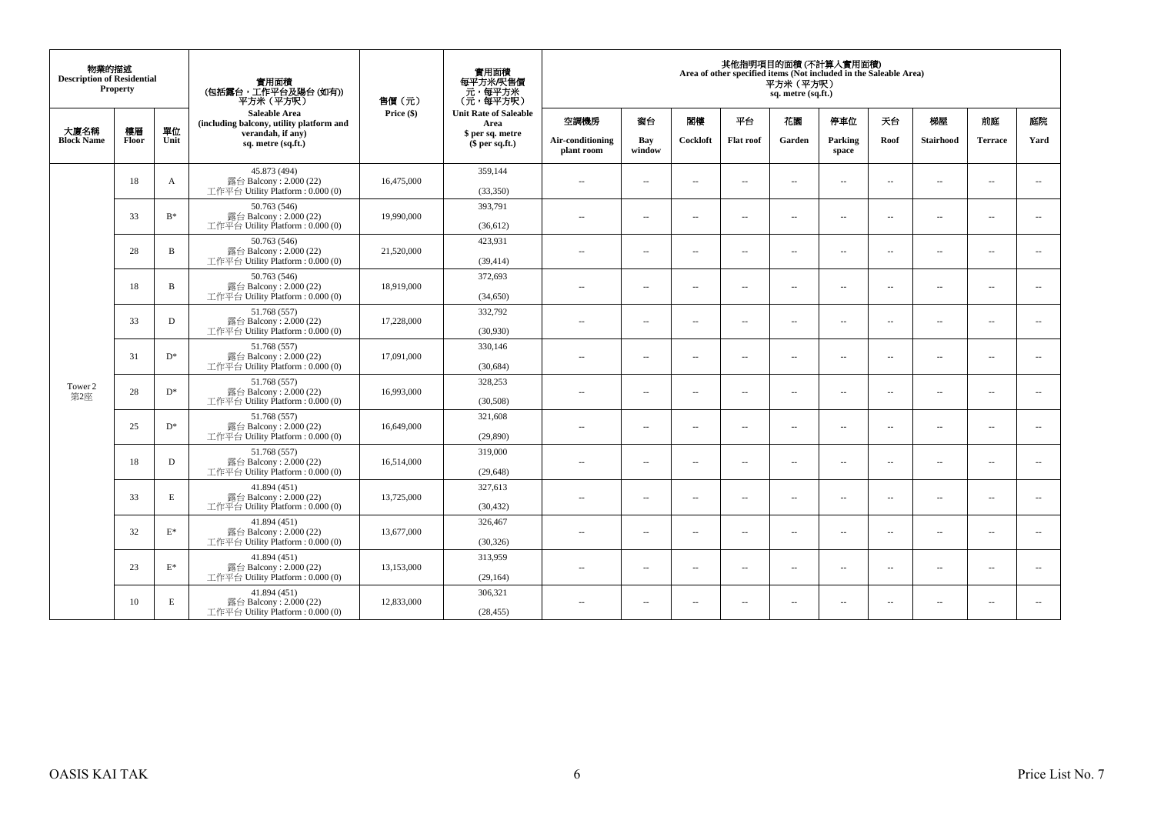| 物業的描述<br><b>Description of Residential</b><br><b>Property</b> |             |                | 實用面積<br>(包括露台,工作平台及陽台(如有))<br>平方米(平方呎)                                       | 售價(元)      | 實用面積<br>每平方米/呎售價<br>元,每平方米<br>(元・每平方呎) | 其他指明項目的面積 (不計算入實用面積)<br>Area of other specified items (Not included in the Saleable Area)<br>平方米 (平方呎)<br>sq. metre (sq.ft.) |                          |                          |                          |                          |                          |                          |                          |                          |                          |
|---------------------------------------------------------------|-------------|----------------|------------------------------------------------------------------------------|------------|----------------------------------------|------------------------------------------------------------------------------------------------------------------------------|--------------------------|--------------------------|--------------------------|--------------------------|--------------------------|--------------------------|--------------------------|--------------------------|--------------------------|
|                                                               |             |                | <b>Saleable Area</b><br>(including balcony, utility platform and             | Price (\$) | <b>Unit Rate of Saleable</b><br>Area   | 空調機房                                                                                                                         | 窗台                       | 閣樓                       | 平台                       | 花園                       | 停車位                      | 天台                       | 梯屋                       | 前庭                       | 庭院                       |
| 大廈名稱<br><b>Block Name</b>                                     | 樓層<br>Floor | 單位<br>Unit     | verandah, if any)<br>sq. metre (sq.ft.)                                      |            | \$ per sq. metre<br>$$$ per sq.ft.)    | Air-conditioning<br>plant room                                                                                               | Bay<br>window            | Cockloft                 | <b>Flat roof</b>         | Garden                   | Parking<br>space         | Roof                     | Stairhood                | <b>Terrace</b>           | Yard                     |
|                                                               | 18          | A              | 45.873 (494)<br>露台 Balcony: 2.000 (22)<br>工作平台 Utility Platform: 0.000 (0)   | 16,475,000 | 359,144<br>(33,350)                    | $\overline{\phantom{a}}$                                                                                                     | $\ldots$                 | $\sim$                   | $\overline{\phantom{a}}$ | μ.                       | $\sim$                   | $\overline{\phantom{a}}$ | $\overline{\phantom{a}}$ | $\overline{\phantom{a}}$ | $\overline{\phantom{a}}$ |
|                                                               | 33          | $B^*$          | 50.763 (546)<br>露台 Balcony: 2.000 (22)<br>工作平台 Utility Platform : $0.000(0)$ | 19,990,000 | 393,791<br>(36, 612)                   | $\sim$                                                                                                                       | $\sim$                   | $\sim$                   | $\sim$                   | $\overline{a}$           | $\sim$                   | $\overline{\phantom{a}}$ | $\sim$                   | $\sim$                   | $\sim$                   |
|                                                               | 28          | B              | 50.763 (546)<br>露台 Balcony: 2.000 (22)<br>工作平台 Utility Platform: 0.000 (0)   | 21,520,000 | 423,931<br>(39, 414)                   | $\overline{a}$                                                                                                               | $\sim$                   | $\sim$                   | $\overline{\phantom{a}}$ | $\overline{\phantom{a}}$ | $\overline{\phantom{a}}$ | $\overline{\phantom{a}}$ | $\overline{\phantom{a}}$ | $\sim$                   | $\overline{\phantom{a}}$ |
|                                                               | 18          | B              | 50.763 (546)<br>露台 Balcony: 2.000 (22)<br>工作平台 Utility Platform: 0.000 (0)   | 18,919,000 | 372,693<br>(34,650)                    | $\sim$                                                                                                                       | $\sim$                   | $\sim$                   | $\sim$                   | $\sim$                   | $\sim$                   | $\overline{\phantom{a}}$ | $\sim$                   | $\sim$                   | $\sim$                   |
|                                                               | 33          | D              | 51.768 (557)<br>露台 Balcony: 2.000 (22)<br>工作平台 Utility Platform: 0.000 (0)   | 17,228,000 | 332,792<br>(30,930)                    | $\overline{\phantom{a}}$                                                                                                     | $\overline{\phantom{a}}$ | $\sim$                   | $\overline{\phantom{a}}$ | $\overline{\phantom{a}}$ | $\sim$                   | $\overline{\phantom{a}}$ | $\overline{\phantom{a}}$ | $\sim$                   | $\overline{\phantom{a}}$ |
|                                                               | 31          | $D^*$          | 51.768 (557)<br>露台 Balcony: 2.000 (22)<br>工作平台 Utility Platform: 0.000 (0)   | 17,091,000 | 330,146<br>(30,684)                    | $\sim$ $-$                                                                                                                   | $\overline{\phantom{a}}$ | $\sim$                   | $\sim$                   | $\overline{a}$           | $\sim$                   | $\overline{\phantom{a}}$ | $\overline{\phantom{a}}$ | $\sim$                   | $\overline{\phantom{a}}$ |
| Tower 2<br>第2座                                                | 28          | $D^*$          | 51.768 (557)<br>露台 Balcony: 2.000 (22)<br>工作平台 Utility Platform: 0.000 (0)   | 16,993,000 | 328,253<br>(30,508)                    | $\sim$                                                                                                                       | $\sim$                   | $\sim$                   | $\sim$                   | $\overline{a}$           | $\sim$                   | $\sim$                   | $\sim$                   | $\sim$                   | $\sim$                   |
|                                                               | 25          | $D^*$          | 51.768 (557)<br>露台 Balcony: 2.000 (22)<br>工作平台 Utility Platform: 0.000 (0)   | 16,649,000 | 321,608<br>(29,890)                    | $\sim$                                                                                                                       | $\sim$                   | ÷.                       | $\overline{\phantom{a}}$ | μ.                       | $\overline{\phantom{a}}$ | $\overline{\phantom{a}}$ | $\overline{\phantom{a}}$ | $\sim$                   | $\overline{\phantom{a}}$ |
|                                                               | 18          | D              | 51.768 (557)<br>露台 Balcony: 2.000 (22)<br>工作平台 Utility Platform : $0.000(0)$ | 16,514,000 | 319,000<br>(29, 648)                   | $\sim$                                                                                                                       | $\overline{\phantom{a}}$ | $\sim$                   | $\sim$                   | $\overline{a}$           | $\sim$                   | $\overline{\phantom{a}}$ | $\sim$                   | $\sim$                   | $\sim$                   |
|                                                               | 33          | E              | 41.894 (451)<br>露台 Balcony: 2.000 (22)<br>工作平台 Utility Platform : 0.000 (0)  | 13,725,000 | 327,613<br>(30, 432)                   | $\sim$                                                                                                                       | $\overline{\phantom{a}}$ | $\sim$                   | $\overline{\phantom{a}}$ | $\overline{\phantom{a}}$ | $\sim$                   | $\overline{\phantom{a}}$ | $\overline{\phantom{a}}$ | $\sim$                   | $\sim$                   |
|                                                               | 32          | $E^*$          | 41.894 (451)<br>露台 Balcony: 2.000 (22)<br>工作平台 Utility Platform: 0.000 (0)   | 13,677,000 | 326,467<br>(30, 326)                   | $\sim$                                                                                                                       | $\overline{\phantom{a}}$ | $\sim$                   | $\sim$                   | $\overline{a}$           | $\sim$                   | $\overline{\phantom{a}}$ | $\overline{a}$           | $\sim$                   | $\overline{\phantom{a}}$ |
|                                                               | 23          | $\mathbf{E}^*$ | 41.894 (451)<br>露台 Balcony: 2.000 (22)<br>工作平台 Utility Platform: 0.000 (0)   | 13,153,000 | 313,959<br>(29, 164)                   | $\sim$                                                                                                                       | $\overline{\phantom{a}}$ | $\overline{\phantom{a}}$ | $\overline{\phantom{a}}$ | $\overline{a}$           | $\sim$                   | $\overline{\phantom{a}}$ | $\sim$                   | $\sim$                   | $\sim$                   |
|                                                               | 10          | Е              | 41.894 (451)<br>露台 Balcony: 2.000 (22)<br>工作平台 Utility Platform: 0.000 (0)   | 12,833,000 | 306,321<br>(28, 455)                   | $\sim$ $-$                                                                                                                   | $\overline{\phantom{a}}$ | $\sim$                   | $\sim$                   | $\sim$                   | $\sim$                   | $\overline{\phantom{a}}$ | $\sim$                   | $\sim$                   | $\overline{\phantom{a}}$ |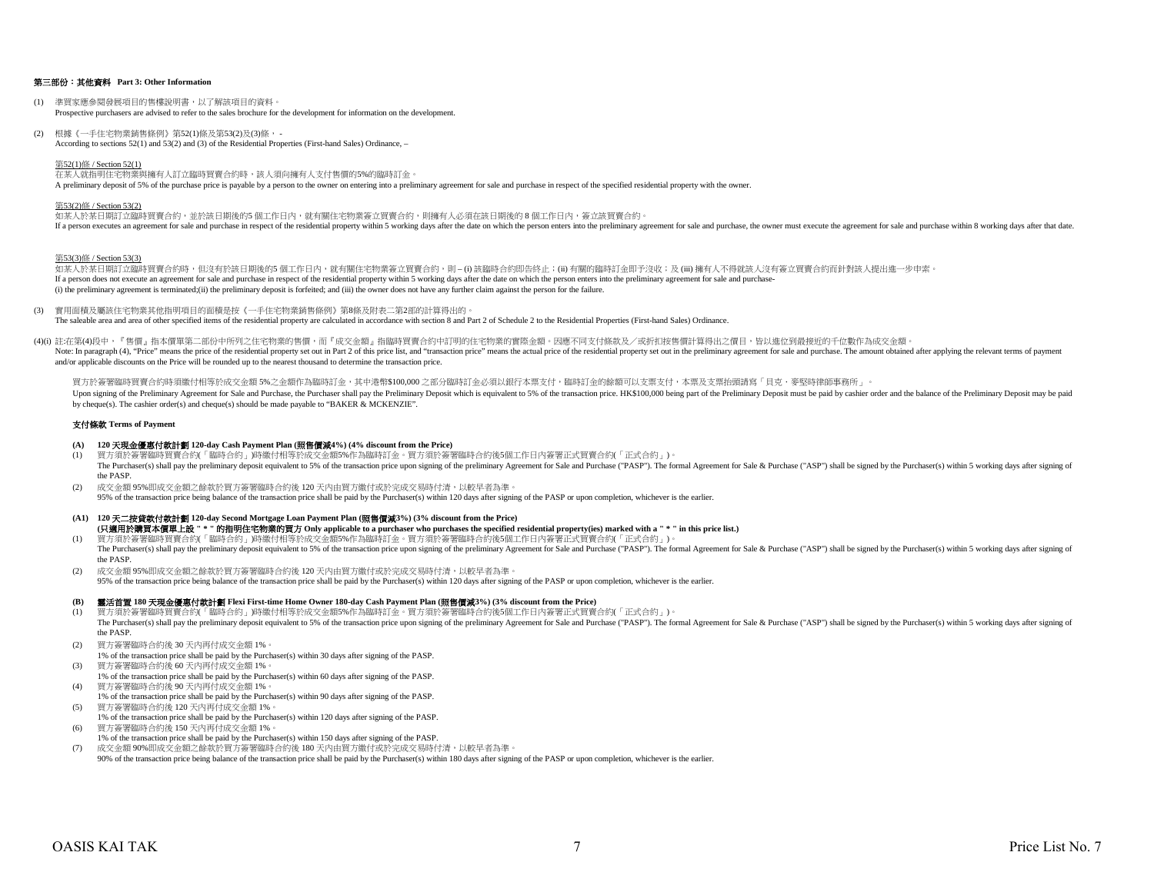## 第三部份:其他資料 **Part 3: Other Information**

- (1) 準買家應參閱發展項目的售樓說明書,以了解該項目的資料。 Prospective purchasers are advised to refer to the sales brochure for the development for information on the development.
- (2) 根據《一手住宅物業銷售條例》第52(1)條及第53(2)及(3)條, According to sections 52(1) and 53(2) and (3) of the Residential Properties (First-hand Sales) Ordinance, –

#### 第52(1)條 / Section 52(1)

在某人就指明住宅物業與擁有人訂立臨時買賣合約時,該人須向擁有人支付售價的5%的臨時訂金。 A preliminary deposit of 5% of the purchase price is payable by a person to the owner on entering into a preliminary agreement for sale and purchase in respect of the specified residential property with the owner.

## 第53(2)條 / Section 53(2)

如某人於某日期訂立臨時買賣合約,並於該日期後的5 個工作日內,就有關住宅物業簽立買賣合約,則擁有人必須在該日期後的 8 個工作日內,簽立該買賣合約。 If a person executes an agreement for sale and purchase in respect of the residential property within 5 working days after the date on which the person enters into the preliminary agreement for sale and purchase, the owner

#### 第53(3)條 / Section 53(3)

如某人於某日期訂立臨時買賣合約時,但沒有於該日期後的5 個工作日内,就有關住宅物業簽立買賣合約,則 – (i) 該臨時合約即告終止;(ii) 有關的臨時訂金即予沒收;及 (iii) 擁有人不得就該人沒有簽立買賣合約而針對該人提出進一步申索。 If a person does not execute an agreement for sale and purchase in respect of the residential property within 5 working days after the date on which the person enters into the preliminary agreement for sale and purchase-(i) the preliminary agreement is terminated;(ii) the preliminary deposit is forfeited; and (iii) the owner does not have any further claim against the person for the failure.

- (3) 實用面積及屬該住宅物業其他指明項目的面積是按《一手住宅物業銷售條例》第8條及附表二第2部的計算得出的。 The saleable area and area of other specified items of the residential property are calculated in accordance with section 8 and Part 2 of Schedule 2 to the Residential Properties (First-hand Sales) Ordinance.
- (4)(i) 註:在第(4)段中,『售價』指本價單第二部份中所列之住宅物業的售價,而『成交金額』指臨時買賣合約中訂明的住宅物業的實際金額。因應不同支付條款及/或折扣按售價計算得出之價目,皆以進位到最接近的千位數作為成交金額。 Note: In paragraph (4), "Price" means the price of the residential property set out in Part 2 of this price list, and "transaction price" means the actual price of the residential property set out in the preliminary agreem and/or applicable discounts on the Price will be rounded up to the nearest thousand to determine the transaction price.

買方於簽署臨時買賣合約時須繳付相等於成交金額ら%之金額作為臨時訂金,其中港幣\$100,000 之部分臨時訂金必須以銀行本票支付,臨時訂金的餘額可以支票支付,本票及支票抬頭請寫「貝克‧麥堅時律師事務所」。 Upon signing of the Preliminary Agreement for Sale and Purchase, the Purchaser shall pay the Preliminary Deposit which is equivalent to 5% of the transaction price. HK\$100,000 being part of the Preliminary Deposit must be by cheque(s). The cashier order(s) and cheque(s) should be made payable to "BAKER & MCKENZIE".

#### 支付條款 **Terms of Payment**

#### **(A) 120** 天現金優惠付款計劃 **120-day Cash Payment Plan (**照售價減**4%) (4% discount from the Price)**

- (1) 買方須於簽署臨時買賣合約(「臨時合約」)時繳付相等於成交金額5%作為臨時訂金。買方須於簽署臨時合約後5個工作日內簽署正式買賣合約(「正式合約」)。 The Purchaser(s) shall pay the preliminary deposit equivalent to 5% of the transaction price upon signing of the preliminary Agreement for Sale and Purchase ("PASP"). The formal Agreement for Sale & Purchase ("ASP") shall the PASP.
- (2) 成交金額 95%即成交金額之餘款於買方簽署臨時合約後 120 天內由買方繳付或於完成交易時付清,以較早者為準。 95% of the transaction price being balance of the transaction price shall be paid by the Purchaser(s) within 120 days after signing of the PASP or upon completion, whichever is the earlier.

# **(A1) 120** 天二按貸款付款計劃 **120-day Second Mortgage Loan Payment Plan (**照售價減**3%) (3% discount from the Price)**

- (1) 買方須於簽署臨時買賣合約(「臨時合約」)時繳付相等於成交金額5%作為臨時訂金。買方須於簽署臨時合約後5個工作日內簽署正式買賣合約(「正式合約」)。 **(**只適用於購買本價單上設 **" \* "** 的指明住宅物業的買方 **Only applicable to a purchaser who purchases the specified residential property(ies) marked with a " \* " in this price list.)**
- The Purchaser(s) shall pay the preliminary deposit equivalent to 5% of the transaction price upon signing of the preliminary Agreement for Sale and Purchase ("PASP"). The formal Agreement for Sale & Purchase ("ASP") shall the PASP.
- (2) 成交金額 95%即成交金額之餘款於買方簽署臨時合約後 120 天內由買方繳付或於完成交易時付清,以較早者為準。 95% of the transaction price being balance of the transaction price shall be paid by the Purchaser(s) within 120 days after signing of the PASP or upon completion, whichever is the earlier.

#### **(B)** 靈活首置 **180** 天現金優惠付款計劃 **Flexi First-time Home Owner 180-day Cash Payment Plan (**照售價減**3%) (3% discount from the Price)**

- (1) 買方須於簽署臨時買賣合約(「臨時合約」)時繳付相等於成交金額5%作為臨時訂金。買方須於簽署臨時合約後5個工作日內簽署正式買賣合約(「正式合約」)。 The Purchaser(s) shall pay the preliminary deposit equivalent to 5% of the transaction price upon signing of the preliminary Agreement for Sale and Purchase ("PASP"). The formal Agreement for Sale & Purchase ("ASP") shall the PASP.
- (2) 買方簽署臨時合約後 30 天內再付成交金額 1%。
- 1% of the transaction price shall be paid by the Purchaser(s) within 30 days after signing of the PASP. (3) 買方簽署臨時合約後 60 天內再付成交金額 1%。
- 1% of the transaction price shall be paid by the Purchaser(s) within 60 days after signing of the PASP. (4) 買方簽署臨時合約後 90 天內再付成交金額 1%。
- 1% of the transaction price shall be paid by the Purchaser(s) within 90 days after signing of the PASP.
- (5) 買方簽署臨時合約後 120 天內再付成交金額 1%。
- 1% of the transaction price shall be paid by the Purchaser(s) within 120 days after signing of the PASP.
- (6) 買方簽署臨時合約後 150 天內再付成交金額 1%。
- 1% of the transaction price shall be paid by the Purchaser(s) within 150 days after signing of the PASP. (7) 成交金額 90%即成交金額之餘款於買方簽署臨時合約後 180 天內由買方繳付或於完成交易時付清,以較早者為準。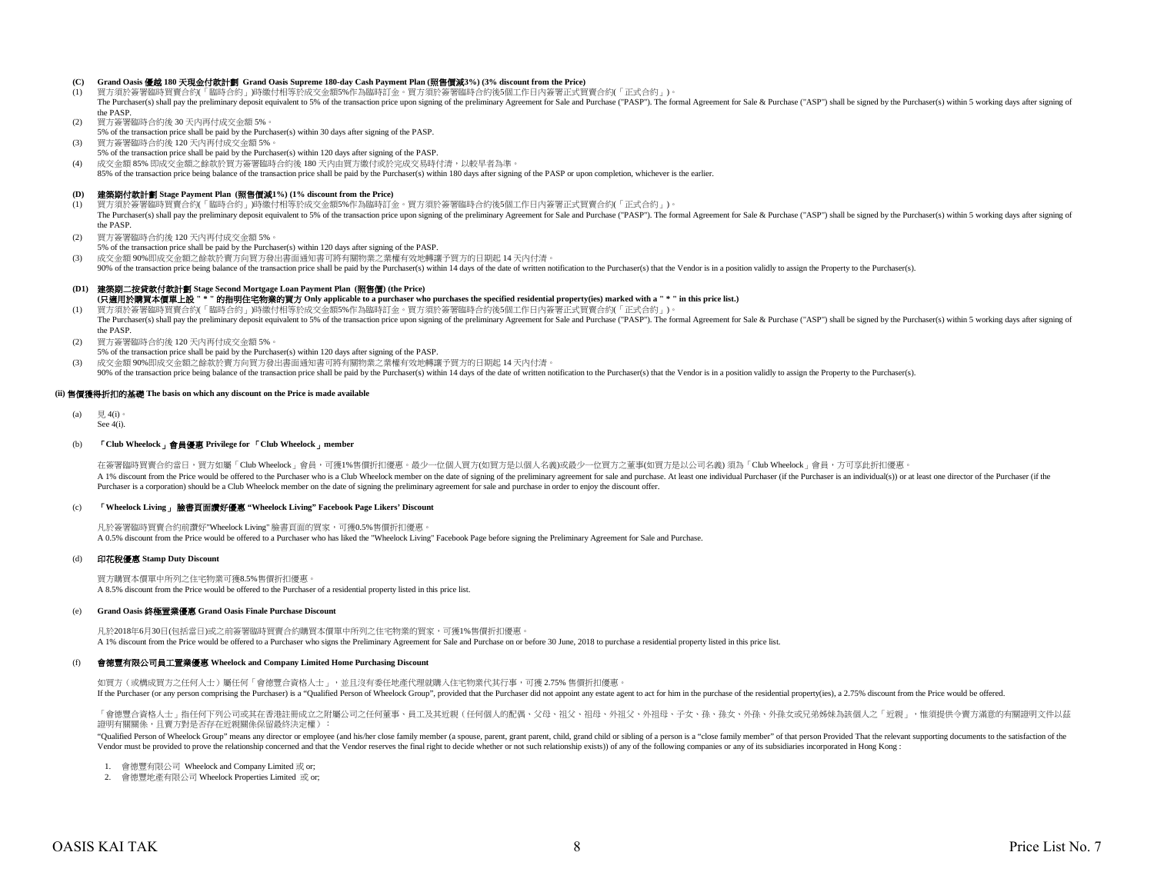#### **(C) Grand Oasis** 優越 **180** 天現金付款計劃 **Grand Oasis Supreme 180-day Cash Payment Plan (**照售價減**3%) (3% discount from the Price)**

- (1) 買方須於簽署臨時買賣合約(「臨時合約」)時繳付相等於成交金額5%作為臨時訂金。買方須於簽署臨時合約後5個工作日內簽署正式買賣合約(「正式合約」)。 The Purchaser(s) shall pay the preliminary deposit equivalent to 5% of the transaction price upon signing of the preliminary Agreement for Sale and Purchase ("PASP"). The formal Agreement for Sale & Purchase ("ASP") shall the PASP.
- 
- (2) 買方簽署臨時合約後 30 天內再付成交金額 5%。
- 5% of the transaction price shall be paid by the Purchaser(s) within 30 days after signing of the PASP.
- (3) 買方簽署臨時合約後 120 天內再付成交金額 5%。
- 5% of the transaction price shall be paid by the Purchaser(s) within 120 days after signing of the PASP.
- (4) 成交金額 85% 即成交金額之餘款於買方簽署臨時合約後 180 天內由買方繳付或於完成交易時付清,以較早者為準。
- 85% of the transaction price being balance of the transaction price shall be paid by the Purchaser(s) within 180 days after signing of the PASP or upon completion, whichever is the earlier

#### **(D)** 建築期付款計劃 **Stage Payment Plan (**照售價減**1%) (1% discount from the Price)**

- (1) 買方須於簽署臨時買賣合約(「臨時合約」)時繳付相等於成交金額5%作為臨時訂金。買方須於簽署臨時合約後5個工作日內簽署正式買賣合約(「正式合約」)。 The Purchaser(s) shall pay the preliminary deposit equivalent to 5% of the transaction price upon signing of the preliminary Agreement for Sale and Purchase ("PASP"). The formal Agreement for Sale & Purchase ("ASP") shall the PASP.
- (2) 買方簽署臨時合約後 120 天內再付成交金額 5%。
- 5% of the transaction price shall be paid by the Purchaser(s) within 120 days after signing of the PASP.
- (3) 成交金額 90%即成交金額之餘款於賣方向買方發出書面通知書可將有關物業之業權有效地轉讓予買方的日期起 14 天內付清。
- 90% of the transaction price being balance of the transaction price shall be paid by the Purchaser(s) within 14 days of the date of written notification to the Purchaser(s) that the Vendor is in a position validly to assig

#### **(D1)** 建築期二按貸款付款計劃 **Stage Second Mortgage Loan Payment Plan (**照售價**) (the Price)**

**(**只適用於購買本價單上設 **" \* "** 的指明住宅物業的買方 **Only applicable to a purchaser who purchases the specified residential property(ies) marked with a " \* " in this price list.)**

- (1) 買方須於簽署臨時買賣合約(「臨時合約」)時繳付相等於成交金額5%作為臨時訂金。買方須於簽署臨時合約後5個工作日內簽署正式買賣合約(「正式合約」)。 The Purchaser(s) shall pay the preliminary deposit equivalent to 5% of the transaction price upon signing of the preliminary Agreement for Sale and Purchase ("PASP"). The formal Agreement for Sale & Purchase ("ASP") shall the PASP.
- (2) 買方簽署臨時合約後 120 天內再付成交金額 5%。
- 5% of the transaction price shall be paid by the Purchaser(s) within 120 days after signing of the PASP.
- (3) 成交金額 90%即成交金額之餘款於賣方向買方發出書面通知書可將有關物業之業權有效地轉讓予買方的日期起 14 天內付清。
	- 90% of the transaction price being balance of the transaction price shall be paid by the Purchaser(s) within 14 days of the date of written notification to the Purchaser(s), that the Vendor is in a position validly to assi

#### **(ii)** 售價獲得折扣的基礎 **The basis on which any discount on the Price is made available**

 $(a)$   $\boxplus$  4(i) See 4(i).

#### (b) 「**Club Wheelock**」會員優惠 **Privilege for** 「**Club Wheelock**」**member**

A 1% discount from the Price would be offered to the Purchaser who is a Club Wheelock member on the date of signing of the preliminary agreement for sale and purchase. At least one individual Purchaser (if the Purchaser is Purchaser is a corporation) should be a Club Wheelock member on the date of signing the preliminary agreement for sale and purchase in order to enjoy the discount offer. 在簽署臨時買賣合約當日,買方如屬「Club Wheelock」會員,可獲1%售價折扣優惠。最少一位個人買方似買方是以個人名義)或最少一位買方之董事(如買方是以公司名義) 須為「Club Wheelock」會員,方可享此折扣優惠。

#### (c) 「**Wheelock Living**」 臉書頁面讚好優惠 **"Wheelock Living" Facebook Page Likers' Discount**

凡於簽署臨時買賣合約前讚好"Wheelock Living" 臉書頁面的買家,可獲0.5%售價折扣優惠。 A 0.5% discount from the Price would be offered to a Purchaser who has liked the "Wheelock Living" Facebook Page before signing the Preliminary Agreement for Sale and Purchase.

#### (d) 印花稅優惠 **Stamp Duty Discount**

買方購買本價單中所列之住宅物業可獲8.5%售價折扣優惠。 A 8.5% discount from the Price would be offered to the Purchaser of a residential property listed in this price list.

#### (e) **Grand Oasis** 終極置業優惠 **Grand Oasis Finale Purchase Discount**

凡於2018年6月30日(包括當日)或之前簽署臨時買賣合約購買本價單中所列之住宅物業的買家,可獲1%售價折扣優惠。 A 1% discount from the Price would be offered to a Purchaser who signs the Preliminary Agreement for Sale and Purchase on or before 30 June, 2018 to purchase a residential property listed in this price list.

#### (f) 會德豐有限公司員工置業優惠 **Wheelock and Company Limited Home Purchasing Discount**

如買方(或構成買方之任何人士)屬任何「會德豐合資格人士」,並且沒有委任地產代理就購入住宅物業代其行事,可獲 2.75% 售價折扣優惠。 If the Purchaser (or any person comprising the Purchaser) is a "Oualified Person of Wheelock Group", provided that the Purchaser did not appoint any estate agent to act for him in the purchase of the residential property(i

「會德豐合資格人士」指任何下列公司或其在香港註冊成立之附屬公司之任何董事、員工及其近親(任何個人的配偶、父母、祖父、祖母、外祖父、外祖母、子女、孫、孫女、外孫、外孫女或兄弟姊妹為該個人之「近親」,惟須提供令賣方滿意的有關證明文件以茲 證明有關關係,且賣方對是否存在近親關係保留最終決定權):

"Qualified Person of Wheelock Group" means any director or employee (and his/her close family member (a spouse, parent, grant parent, still, grand child or sibling of a person is a "close family member" of that person Frov Vendor must be provided to prove the relationship concerned and that the Vendor reserves the final right to decide whether or not such relationship exists)) of any of the following companies or any of its subsidiaries inco

- 1. 會德豐有限公司 Wheelock and Company Limited 或 or;
- 2. 會德豐地產有限公司 Wheelock Properties Limited 或 or;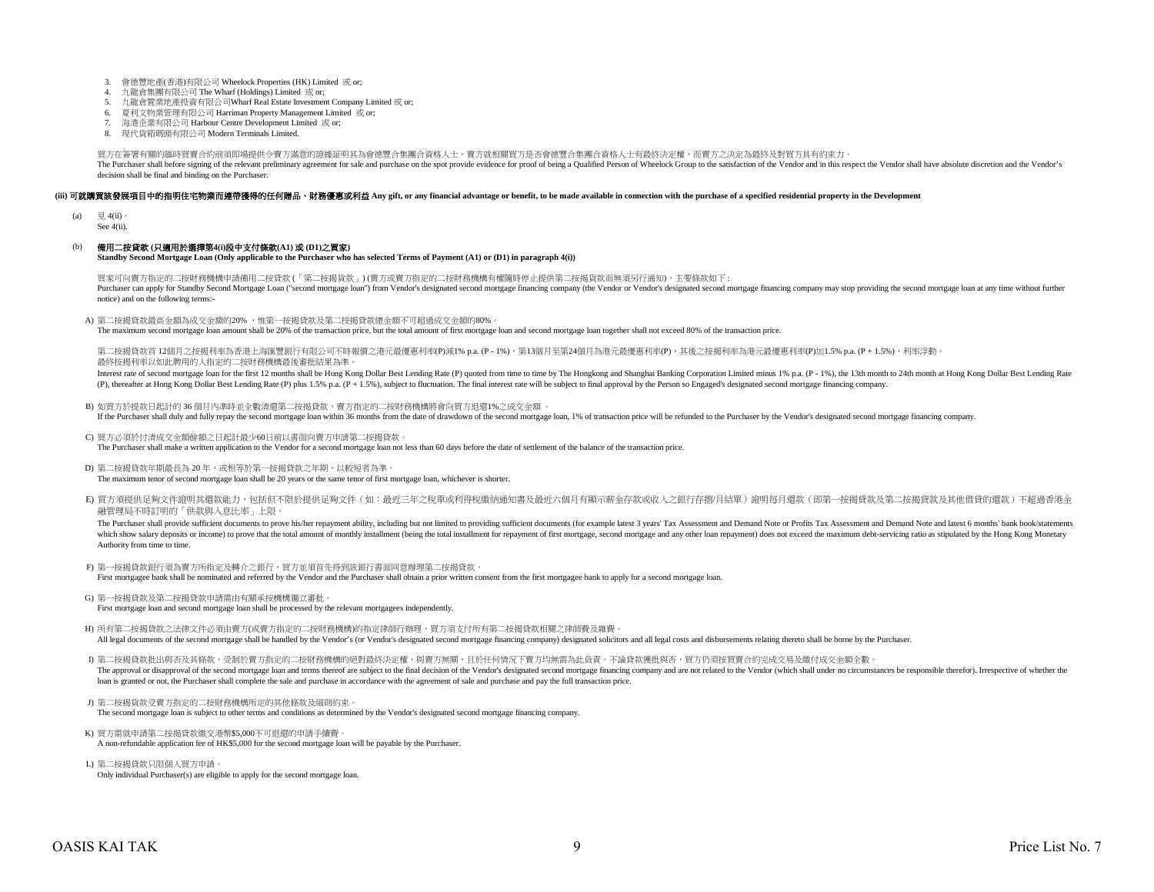- 3. 會德豐地產(香港)有限公司 Wheelock Properties (HK) Limited 或 or;
- 4. 九龍倉集團有限公司 The Wharf (Holdings) Limited 或 or;
- 5. 九龍倉置業地產投資有限公司Wharf Real Estate Investment Company Limited 或 or;
- 6. 夏利文物業管理有限公司 Harriman Property Management Limited 或 or;
- 7. 海港企業有限公司 Harbour Centre Development Limited 或 or;
- 8. 現代貨箱碼頭有限公司 Modern Terminals Limited.

買方在簽署有關的臨時買賣合約前須即場提供令賣方滿意的證據証明其為會德豐合集團合資格人士,賣方就相關買方是否會德豐合集團合資格人士有最終決定權,而賣方之決定為最終及對買方具有約束力。 The Purchaser shall before signing of the relevant preliminary agreement for sale and purchase on the spot provide evidence for proof of being a Qualified Person of Wheelock Group to the satisfaction of the Vendor and in t decision shall be final and binding on the Purchaser.

#### (iii) 可就購買該發展項目中的指明住宅物業而連帶獲得的任何贈品、財務優惠或利益 Any gift, or any financial advantage or benefit, to be made available in connection with the purchase of a specified residential property in the Development

(a)  $\Box$  4(ii)

See 4(ii).

#### (b) 備用二按貸款 **(**只適用於選擇第**4(i)**段中支付條款**(A1)** 或 **(D1)**之買家**)**

**Standby Second Mortgage Loan (Only applicable to the Purchaser who has selected Terms of Payment (A1) or (D1) in paragraph 4(i))**

買家可向賣方指定的二按財務機構申請備用二按貸款 (「第二按揭貨款」) (賣方或賣方指定的二按財務機構有權隨時停止提供第二按揭貨款而無須另行通知),主要條款如下 : Purchaser can apply for Standby Second Mortgage Loan ("second mortgage loan") from Vendor's designated second mortgage financing company (the Vendor or Vendor's designated second mortgage financing company may stop providi notice) and on the following terms:-

A) 第二按揭貸款最高金額為成交金額的20% ,惟第一按揭貸款及第二按揭貸款總金額不可超過成交金額的80%。

The maximum second mortgage loan amount shall be 20% of the transaction price, but the total amount of first mortgage loan and second mortgage loan together shall not exceed 80% of the transaction price.

第二按揭貸款首 12個月之按揭利率為香港上海匯豐銀行有限公司不時報價之港元最優惠利率(P)減1% p.a. (P - 1%),第13個月至第24個月為港元最優惠利率(P),其後之按揭利率為港元最優惠利率(P)加1.5% p.a. (P + 1.5%),利率浮動。 最終按揭利率以如此聘用的人指定的二按財務機構最後審批結果為準。

Interest rate of second mortgage loan for the first 12 months shall be Hong Kong Dollar Best Lending Rate (P) quoted from time to time by The Hongkong and Shanghai Banking Corporation Limited minus 1% p.a. (P - 1%), the 13 (P), thereafter at Hong Kong Dollar Best Lending Rate (P) plus 1.5% p.a. (P + 1.5%), subject to fluctuation. The final interest rate will be subject to final approval by the Person so Engaged's designated second mortgage f

- B) 如買方於提款日起計的 36 個月內準時並全數清還第二按揭貸款,賣方指定的二按財務機構將會向買方退還1%之成交金額 。 If the Purchaser shall duly and fully repay the second mortgage loan within 36 months from the date of drawdown of the second mortgage loan, 1% of transaction price will be refunded to the Purchaser by the Vendor's designa
- C) 買方必須於付清成交金額餘額之日起計最少60日前以書面向賣方申請第二按揭貸款。

The Purchaser shall make a written application to the Vendor for a second mortgage loan not less than 60 days before the date of settlement of the balance of the transaction price.

D) 第二按揭貸款年期最長為 20 年,或相等於第一按揭貸款之年期,以較短者為準。

The maximum tenor of second mortgage loan shall be 20 years or the same tenor of first mortgage loan, whichever is shorter.

E) 買方須提供足夠文件證明其還款能力,包括但不限於提供足夠文件(如:最近三年之稅單或利得稅繳納通知書及最近六個月有顯示薪金存款或收入之銀行存摺/月結單)證明每月還款(即第一按揭貸款及第二按揭貸款及其他借貸的還款)不超過香港金 融管理局不時訂明的「供款與入息比率」上限。

The Purchaser shall provide sufficient documents to prove his/her repayment ability, including but not limited to providing sufficient documents (for example latest 3 years' Tax Assessment and Demand Note or Profits Tax As which show salary deposits or income) to prove that the total amount of monthly installment (being the total installment for repayment of first mortgage, second mortgage and any other loan repayment) does not exceed the ma Authority from time to time.

- F) 第一按揭貸款銀行須為賣方所指定及轉介之銀行,買方並須首先得到該銀行書面同意辦理第二按揭貸款。 First mortgagee bank shall be nominated and referred by the Vendor and the Purchaser shall obtain a prior written consent from the first mortgagee bank to apply for a second mortgage loan.
- G) 第一按揭貸款及第二按揭貸款申請需由有關承按機構獨立審批。
- First mortgage loan and second mortgage loan shall be processed by the relevant mortgagees independently.
- H) 所有第二按揭貸款之法律文件必須由賣方(或賣方指定的二按財務機構)的指定律師行辦理, 買方須支付所有第二按揭貸款相關之律師費及雜費。 All legal documents of the second mortgage shall be handled by the Vendor's (or Vendor's designated second mortgage financing company) designated solicitors and all legal costs and disbursements relating thereto shall be b
- I) 第二按揭貸款批出與否及其條款,受制於賣方指定的二按財務機構的絕對最終決定權,與賣方無關,且於任何情況下賣方均無需為此負責。不論貸款獲批與否,買方仍須按買賣合約完成交易及繳付成交金額全數。 The approval or disapproval of the second mortgage loan and terms thereof are subject to the final decision of the Vendor's designated second mortgage financing company and are not related to the Vendor (which shall under loan is granted or not, the Purchaser shall complete the sale and purchase in accordance with the agreement of sale and purchase and pay the full transaction price.
- J) 第二按揭貨款受賣方指定的二按財務機構所定的其他條款及細則約束。 The second mortgage loan is subject to other terms and conditions as determined by the Vendor's designated second mortgage financing company.
- K) 買方需就申請第二按揭貸款繳交港幣\$5,000不可退還的申請手續費。 A non-refundable application fee of HK\$5,000 for the second mortgage loan will be payable by the Purchaser.
- L) 第二按揭貸款只限個人買方申請。 Only individual Purchaser(s) are eligible to apply for the second mortgage loan.